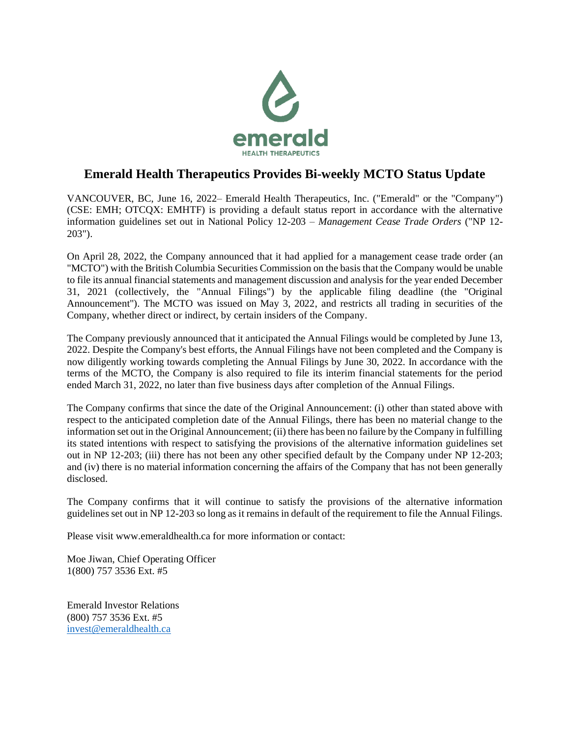

## **Emerald Health Therapeutics Provides Bi-weekly MCTO Status Update**

VANCOUVER, BC, June 16, 2022– Emerald Health Therapeutics, Inc. ("Emerald" or the "Company") (CSE: EMH; OTCQX: EMHTF) is providing a default status report in accordance with the alternative information guidelines set out in National Policy 12-203 – *Management Cease Trade Orders* ("NP 12- 203").

On April 28, 2022, the Company announced that it had applied for a management cease trade order (an "MCTO") with the British Columbia Securities Commission on the basis that the Company would be unable to file its annual financial statements and management discussion and analysis for the year ended December 31, 2021 (collectively, the "Annual Filings") by the applicable filing deadline (the "Original Announcement"). The MCTO was issued on May 3, 2022, and restricts all trading in securities of the Company, whether direct or indirect, by certain insiders of the Company.

The Company previously announced that it anticipated the Annual Filings would be completed by June 13, 2022. Despite the Company's best efforts, the Annual Filings have not been completed and the Company is now diligently working towards completing the Annual Filings by June 30, 2022. In accordance with the terms of the MCTO, the Company is also required to file its interim financial statements for the period ended March 31, 2022, no later than five business days after completion of the Annual Filings.

The Company confirms that since the date of the Original Announcement: (i) other than stated above with respect to the anticipated completion date of the Annual Filings, there has been no material change to the information set out in the Original Announcement; (ii) there has been no failure by the Company in fulfilling its stated intentions with respect to satisfying the provisions of the alternative information guidelines set out in NP 12-203; (iii) there has not been any other specified default by the Company under NP 12-203; and (iv) there is no material information concerning the affairs of the Company that has not been generally disclosed.

The Company confirms that it will continue to satisfy the provisions of the alternative information guidelines set out in NP 12-203 so long as it remains in default of the requirement to file the Annual Filings.

Please visit www.emeraldhealth.ca for more information or contact:

Moe Jiwan, Chief Operating Officer 1(800) 757 3536 Ext. #5

Emerald Investor Relations (800) 757 3536 Ext. #5 [invest@emeraldhealth.ca](mailto:invest@emeraldhealth.ca)